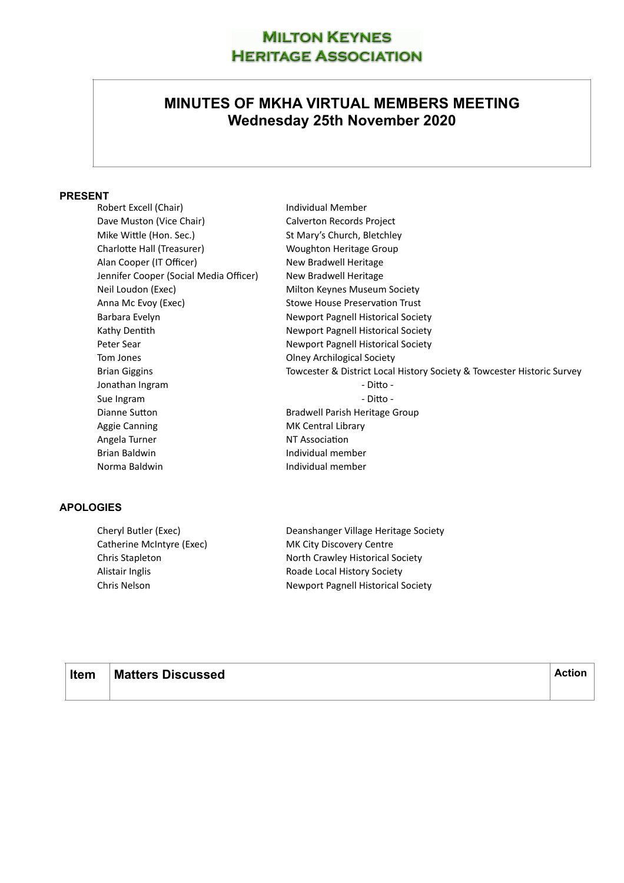## **MILTON KEYNES HERITAGE ASSOCIATION**

## **MINUTES OF MKHA VIRTUAL MEMBERS MEETING Wednesday 25th November 2020**

## **PRESENT**

| Robert Excell (Chair)                  | Individual Member                                                      |
|----------------------------------------|------------------------------------------------------------------------|
| Dave Muston (Vice Chair)               | Calverton Records Project                                              |
| Mike Wittle (Hon. Sec.)                | St Mary's Church, Bletchley                                            |
| Charlotte Hall (Treasurer)             | Woughton Heritage Group                                                |
| Alan Cooper (IT Officer)               | New Bradwell Heritage                                                  |
| Jennifer Cooper (Social Media Officer) | New Bradwell Heritage                                                  |
| Neil Loudon (Exec)                     | Milton Keynes Museum Society                                           |
| Anna Mc Evoy (Exec)                    | <b>Stowe House Preservation Trust</b>                                  |
| Barbara Evelyn                         | <b>Newport Pagnell Historical Society</b>                              |
| Kathy Dentith                          | Newport Pagnell Historical Society                                     |
| Peter Sear                             | Newport Pagnell Historical Society                                     |
| Tom Jones                              | <b>Olney Archilogical Society</b>                                      |
| <b>Brian Giggins</b>                   | Towcester & District Local History Society & Towcester Historic Survey |
| Jonathan Ingram                        | - Ditto -                                                              |
| Sue Ingram                             | - Ditto -                                                              |
| Dianne Sutton                          | Bradwell Parish Heritage Group                                         |
| <b>Aggie Canning</b>                   | MK Central Library                                                     |
| Angela Turner                          | NT Association                                                         |
| Brian Baldwin                          | Individual member                                                      |
| Norma Baldwin                          | Individual member                                                      |
|                                        |                                                                        |

## **APOLOGIES**

| Cheryl Butler (Exec)      |  |
|---------------------------|--|
| Catherine McIntyre (Exec) |  |
| Chris Stapleton           |  |
| Alistair Inglis           |  |
| Chris Nelson              |  |

Deanshanger Village Heritage Society MK City Discovery Centre North Crawley Historical Society Roade Local History Society Newport Pagnell Historical Society

| <b>Item</b> | <b>Matters Discussed</b> | <b>Action</b> |
|-------------|--------------------------|---------------|
|             |                          |               |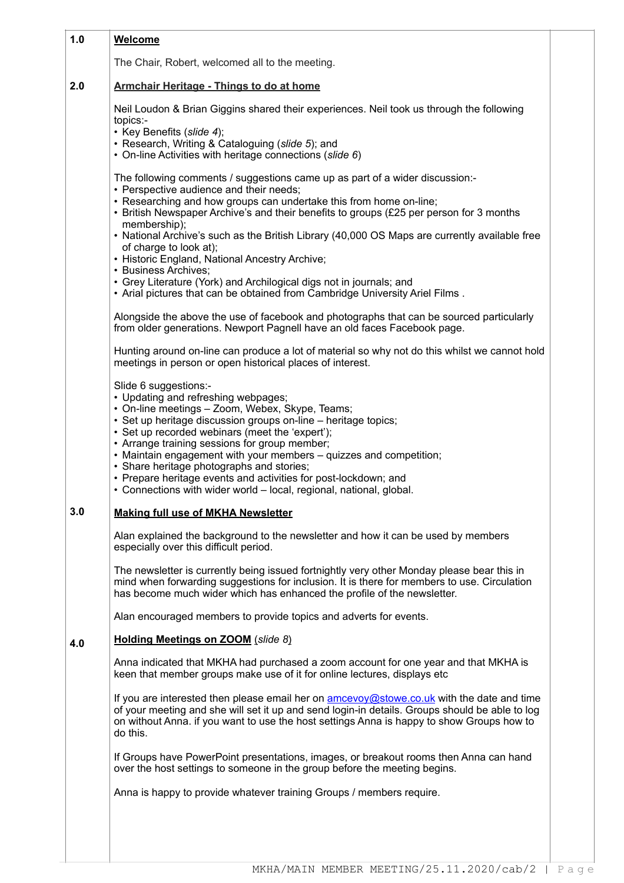| 1.0 | <b>Welcome</b>                                                                                                                                                                                                                                                                                                                                                                                                                                                                                                                                                                                                                                                       |  |  |
|-----|----------------------------------------------------------------------------------------------------------------------------------------------------------------------------------------------------------------------------------------------------------------------------------------------------------------------------------------------------------------------------------------------------------------------------------------------------------------------------------------------------------------------------------------------------------------------------------------------------------------------------------------------------------------------|--|--|
|     | The Chair, Robert, welcomed all to the meeting.                                                                                                                                                                                                                                                                                                                                                                                                                                                                                                                                                                                                                      |  |  |
| 2.0 | <b>Armchair Heritage - Things to do at home</b>                                                                                                                                                                                                                                                                                                                                                                                                                                                                                                                                                                                                                      |  |  |
|     | Neil Loudon & Brian Giggins shared their experiences. Neil took us through the following<br>topics:-<br>• Key Benefits (slide 4);<br>• Research, Writing & Cataloguing (slide 5); and<br>• On-line Activities with heritage connections (slide 6)                                                                                                                                                                                                                                                                                                                                                                                                                    |  |  |
|     | The following comments / suggestions came up as part of a wider discussion:-<br>• Perspective audience and their needs;<br>• Researching and how groups can undertake this from home on-line;<br>• British Newspaper Archive's and their benefits to groups (£25 per person for 3 months<br>membership);<br>• National Archive's such as the British Library (40,000 OS Maps are currently available free<br>of charge to look at);<br>• Historic England, National Ancestry Archive;<br>• Business Archives;<br>• Grey Literature (York) and Archilogical digs not in journals; and<br>. Arial pictures that can be obtained from Cambridge University Ariel Films. |  |  |
|     | Alongside the above the use of facebook and photographs that can be sourced particularly<br>from older generations. Newport Pagnell have an old faces Facebook page.                                                                                                                                                                                                                                                                                                                                                                                                                                                                                                 |  |  |
|     | Hunting around on-line can produce a lot of material so why not do this whilst we cannot hold<br>meetings in person or open historical places of interest.                                                                                                                                                                                                                                                                                                                                                                                                                                                                                                           |  |  |
|     | Slide 6 suggestions:-<br>• Updating and refreshing webpages;<br>• On-line meetings - Zoom, Webex, Skype, Teams;<br>• Set up heritage discussion groups on-line - heritage topics;<br>• Set up recorded webinars (meet the 'expert');<br>• Arrange training sessions for group member;<br>• Maintain engagement with your members - quizzes and competition;<br>• Share heritage photographs and stories;<br>• Prepare heritage events and activities for post-lockdown; and<br>• Connections with wider world - local, regional, national, global.                                                                                                                   |  |  |
| 3.0 | <b>Making full use of MKHA Newsletter</b>                                                                                                                                                                                                                                                                                                                                                                                                                                                                                                                                                                                                                            |  |  |
|     | Alan explained the background to the newsletter and how it can be used by members<br>especially over this difficult period.                                                                                                                                                                                                                                                                                                                                                                                                                                                                                                                                          |  |  |
|     | The newsletter is currently being issued fortnightly very other Monday please bear this in<br>mind when forwarding suggestions for inclusion. It is there for members to use. Circulation<br>has become much wider which has enhanced the profile of the newsletter.                                                                                                                                                                                                                                                                                                                                                                                                 |  |  |
|     | Alan encouraged members to provide topics and adverts for events.                                                                                                                                                                                                                                                                                                                                                                                                                                                                                                                                                                                                    |  |  |
| 4.0 | Holding Meetings on ZOOM (slide 8)                                                                                                                                                                                                                                                                                                                                                                                                                                                                                                                                                                                                                                   |  |  |
|     | Anna indicated that MKHA had purchased a zoom account for one year and that MKHA is<br>keen that member groups make use of it for online lectures, displays etc                                                                                                                                                                                                                                                                                                                                                                                                                                                                                                      |  |  |
|     | If you are interested then please email her on amcevoy@stowe.co.uk with the date and time<br>of your meeting and she will set it up and send login-in details. Groups should be able to log<br>on without Anna. if you want to use the host settings Anna is happy to show Groups how to<br>do this.                                                                                                                                                                                                                                                                                                                                                                 |  |  |
|     | If Groups have PowerPoint presentations, images, or breakout rooms then Anna can hand<br>over the host settings to someone in the group before the meeting begins.                                                                                                                                                                                                                                                                                                                                                                                                                                                                                                   |  |  |
|     | Anna is happy to provide whatever training Groups / members require.                                                                                                                                                                                                                                                                                                                                                                                                                                                                                                                                                                                                 |  |  |
|     |                                                                                                                                                                                                                                                                                                                                                                                                                                                                                                                                                                                                                                                                      |  |  |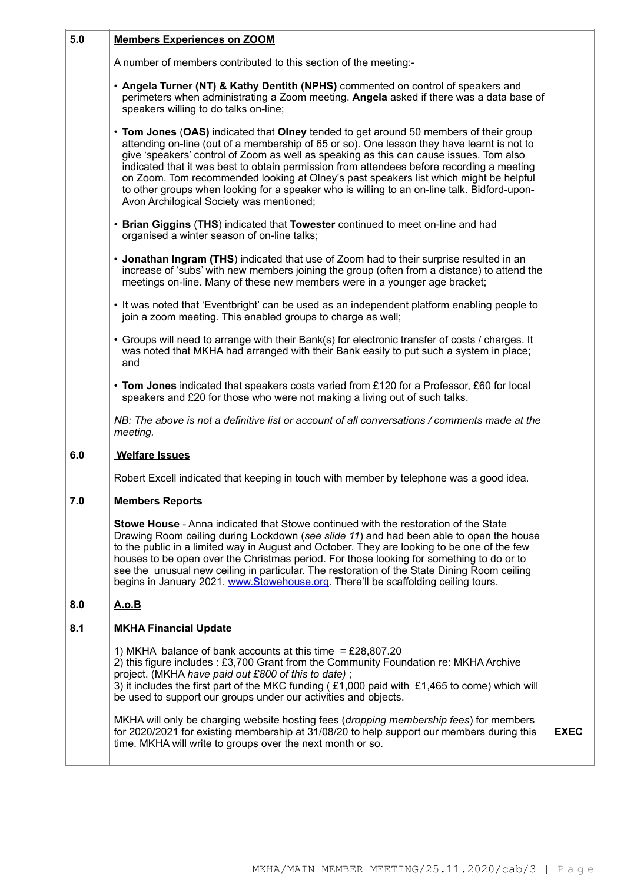| 5.0 | <b>Members Experiences on ZOOM</b>                                                                                                                                                                                                                                                                                                                                                                                                                                                                                                                                                                             |             |
|-----|----------------------------------------------------------------------------------------------------------------------------------------------------------------------------------------------------------------------------------------------------------------------------------------------------------------------------------------------------------------------------------------------------------------------------------------------------------------------------------------------------------------------------------------------------------------------------------------------------------------|-------------|
|     | A number of members contributed to this section of the meeting:-                                                                                                                                                                                                                                                                                                                                                                                                                                                                                                                                               |             |
|     | • Angela Turner (NT) & Kathy Dentith (NPHS) commented on control of speakers and<br>perimeters when administrating a Zoom meeting. Angela asked if there was a data base of<br>speakers willing to do talks on-line;                                                                                                                                                                                                                                                                                                                                                                                           |             |
|     | • Tom Jones (OAS) indicated that Olney tended to get around 50 members of their group<br>attending on-line (out of a membership of 65 or so). One lesson they have learnt is not to<br>give 'speakers' control of Zoom as well as speaking as this can cause issues. Tom also<br>indicated that it was best to obtain permission from attendees before recording a meeting<br>on Zoom. Tom recommended looking at Olney's past speakers list which might be helpful<br>to other groups when looking for a speaker who is willing to an on-line talk. Bidford-upon-<br>Avon Archilogical Society was mentioned; |             |
|     | • Brian Giggins (THS) indicated that Towester continued to meet on-line and had<br>organised a winter season of on-line talks;                                                                                                                                                                                                                                                                                                                                                                                                                                                                                 |             |
|     | • Jonathan Ingram (THS) indicated that use of Zoom had to their surprise resulted in an<br>increase of 'subs' with new members joining the group (often from a distance) to attend the<br>meetings on-line. Many of these new members were in a younger age bracket;                                                                                                                                                                                                                                                                                                                                           |             |
|     | . It was noted that 'Eventbright' can be used as an independent platform enabling people to<br>join a zoom meeting. This enabled groups to charge as well;                                                                                                                                                                                                                                                                                                                                                                                                                                                     |             |
|     | • Groups will need to arrange with their Bank(s) for electronic transfer of costs / charges. It<br>was noted that MKHA had arranged with their Bank easily to put such a system in place;<br>and                                                                                                                                                                                                                                                                                                                                                                                                               |             |
|     | • Tom Jones indicated that speakers costs varied from £120 for a Professor, £60 for local<br>speakers and £20 for those who were not making a living out of such talks.                                                                                                                                                                                                                                                                                                                                                                                                                                        |             |
|     | NB: The above is not a definitive list or account of all conversations / comments made at the<br>meeting.                                                                                                                                                                                                                                                                                                                                                                                                                                                                                                      |             |
| 6.0 | <b>Welfare Issues</b>                                                                                                                                                                                                                                                                                                                                                                                                                                                                                                                                                                                          |             |
|     | Robert Excell indicated that keeping in touch with member by telephone was a good idea.                                                                                                                                                                                                                                                                                                                                                                                                                                                                                                                        |             |
| 7.0 | <b>Members Reports</b>                                                                                                                                                                                                                                                                                                                                                                                                                                                                                                                                                                                         |             |
|     | Stowe House - Anna indicated that Stowe continued with the restoration of the State<br>Drawing Room ceiling during Lockdown (see slide 11) and had been able to open the house<br>to the public in a limited way in August and October. They are looking to be one of the few<br>houses to be open over the Christmas period. For those looking for something to do or to<br>see the unusual new ceiling in particular. The restoration of the State Dining Room ceiling<br>begins in January 2021. www.Stowehouse.org. There'll be scaffolding ceiling tours.                                                 |             |
| 8.0 | A.o.B                                                                                                                                                                                                                                                                                                                                                                                                                                                                                                                                                                                                          |             |
| 8.1 | <b>MKHA Financial Update</b>                                                                                                                                                                                                                                                                                                                                                                                                                                                                                                                                                                                   |             |
|     | 1) MKHA balance of bank accounts at this time = £28,807.20<br>2) this figure includes : £3,700 Grant from the Community Foundation re: MKHA Archive<br>project. (MKHA have paid out £800 of this to date);<br>3) it includes the first part of the MKC funding (£1,000 paid with £1,465 to come) which will<br>be used to support our groups under our activities and objects.                                                                                                                                                                                                                                 |             |
|     | MKHA will only be charging website hosting fees (dropping membership fees) for members<br>for 2020/2021 for existing membership at 31/08/20 to help support our members during this<br>time. MKHA will write to groups over the next month or so.                                                                                                                                                                                                                                                                                                                                                              | <b>EXEC</b> |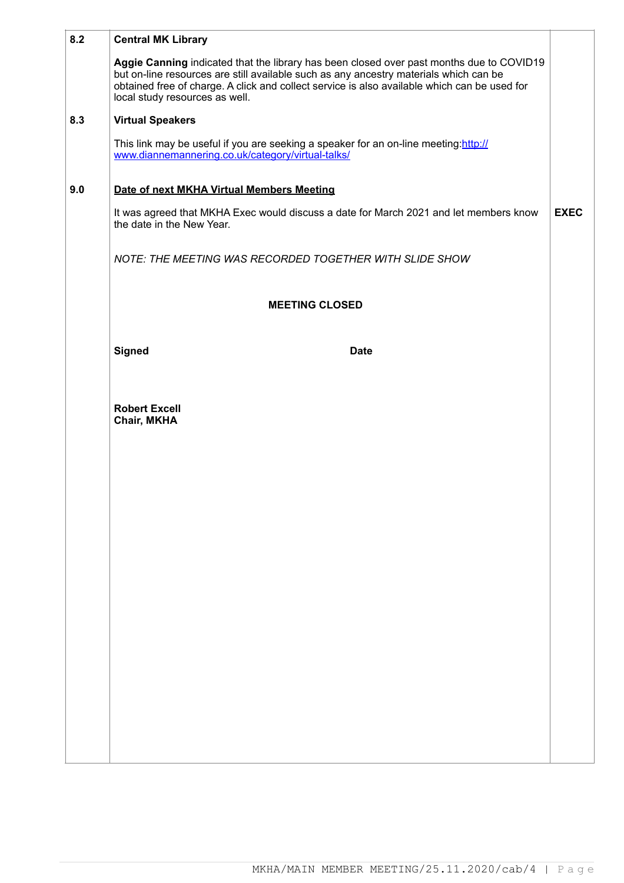| 8.2 | <b>Central MK Library</b>                                                                                                                                                                                                                                                                                           |             |
|-----|---------------------------------------------------------------------------------------------------------------------------------------------------------------------------------------------------------------------------------------------------------------------------------------------------------------------|-------------|
|     | Aggie Canning indicated that the library has been closed over past months due to COVID19<br>but on-line resources are still available such as any ancestry materials which can be<br>obtained free of charge. A click and collect service is also available which can be used for<br>local study resources as well. |             |
| 8.3 | <b>Virtual Speakers</b>                                                                                                                                                                                                                                                                                             |             |
|     | This link may be useful if you are seeking a speaker for an on-line meeting:http://<br>www.diannemannering.co.uk/category/virtual-talks/                                                                                                                                                                            |             |
| 9.0 | Date of next MKHA Virtual Members Meeting                                                                                                                                                                                                                                                                           |             |
|     | It was agreed that MKHA Exec would discuss a date for March 2021 and let members know<br>the date in the New Year.                                                                                                                                                                                                  | <b>EXEC</b> |
|     | NOTE: THE MEETING WAS RECORDED TOGETHER WITH SLIDE SHOW                                                                                                                                                                                                                                                             |             |
|     | <b>MEETING CLOSED</b>                                                                                                                                                                                                                                                                                               |             |
|     | <b>Signed</b><br><b>Date</b>                                                                                                                                                                                                                                                                                        |             |
|     | <b>Robert Excell</b><br><b>Chair, MKHA</b>                                                                                                                                                                                                                                                                          |             |
|     |                                                                                                                                                                                                                                                                                                                     |             |
|     |                                                                                                                                                                                                                                                                                                                     |             |
|     |                                                                                                                                                                                                                                                                                                                     |             |
|     |                                                                                                                                                                                                                                                                                                                     |             |
|     |                                                                                                                                                                                                                                                                                                                     |             |
|     |                                                                                                                                                                                                                                                                                                                     |             |
|     |                                                                                                                                                                                                                                                                                                                     |             |
|     |                                                                                                                                                                                                                                                                                                                     |             |
|     |                                                                                                                                                                                                                                                                                                                     |             |
|     |                                                                                                                                                                                                                                                                                                                     |             |
|     |                                                                                                                                                                                                                                                                                                                     |             |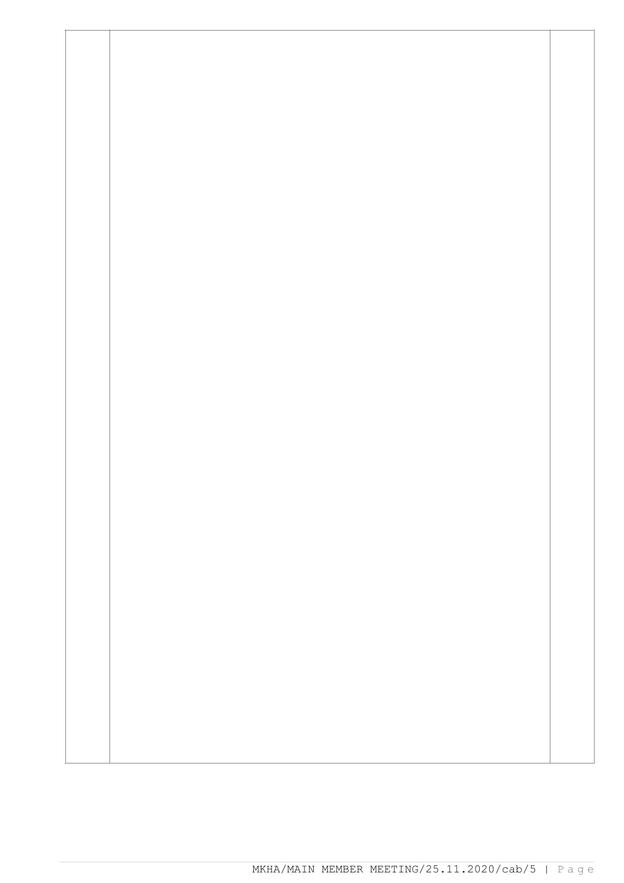